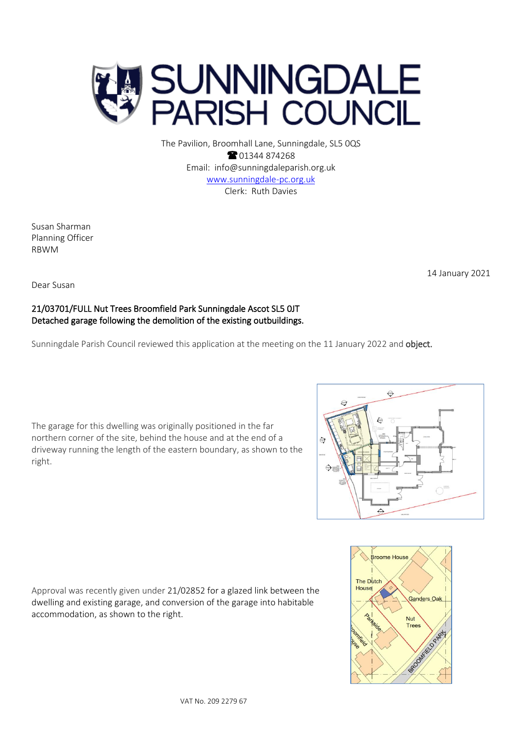

 $\Theta$ È, driveway running the length of the eastern boundary, as shown to the  $\Theta$ 





The Pavilion, Broomhall Lane, Sunningdale, SL5 0QS <sup>2</sup>01344 874268 Email: info@sunningdaleparish.org.uk [www.sunningdale-pc.org.uk](http://www.sunningdale-pc.org.uk/) Clerk: Ruth Davies

Susan Sharman Planning Officer RBWM

Dear Susan

right.

## 21/03701/FULL Nut Trees Broomfield Park Sunningdale Ascot SL5 0JT Detached garage following the demolition of the existing outbuildings.

The garage for this dwelling was originally positioned in the far northern corner of the site, behind the house and at the end of a

Sunningdale Parish Council reviewed this application at the meeting on the 11 January 2022 and object.

Approval was recently given under 21/02852 for a glazed link between the dwelling and existing garage, and conversion of the garage into habitable accommodation, as shown to the right.



Trees

Rees Market of Ree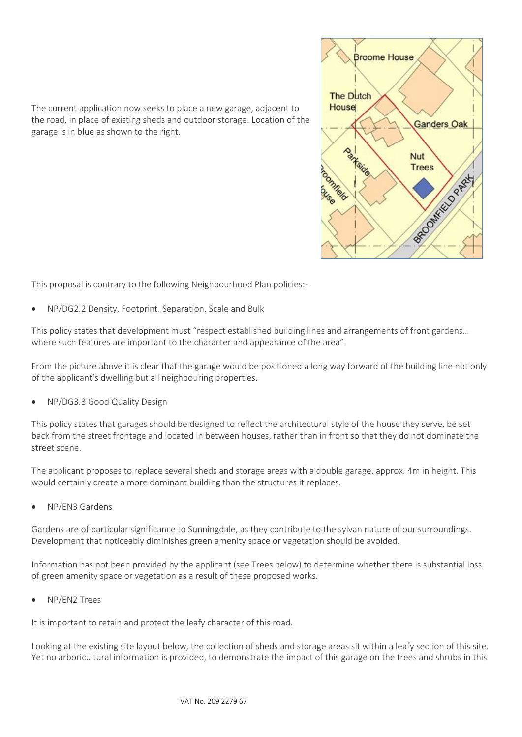

The current application now seeks to place a new garage, adjacent to the road, in place of existing sheds and outdoor storage. Location of the garage is in blue as shown to the right.

This proposal is contrary to the following Neighbourhood Plan policies:-

• NP/DG2.2 Density, Footprint, Separation, Scale and Bulk

This policy states that development must "respect established building lines and arrangements of front gardens… where such features are important to the character and appearance of the area".

From the picture above it is clear that the garage would be positioned a long way forward of the building line not only of the applicant's dwelling but all neighbouring properties.

• NP/DG3.3 Good Quality Design

This policy states that garages should be designed to reflect the architectural style of the house they serve, be set back from the street frontage and located in between houses, rather than in front so that they do not dominate the street scene.

The applicant proposes to replace several sheds and storage areas with a double garage, approx. 4m in height. This would certainly create a more dominant building than the structures it replaces.

• NP/EN3 Gardens

Gardens are of particular significance to Sunningdale, as they contribute to the sylvan nature of our surroundings. Development that noticeably diminishes green amenity space or vegetation should be avoided.

Information has not been provided by the applicant (see Trees below) to determine whether there is substantial loss of green amenity space or vegetation as a result of these proposed works.

• NP/EN2 Trees

It is important to retain and protect the leafy character of this road.

Looking at the existing site layout below, the collection of sheds and storage areas sit within a leafy section of this site. Yet no arboricultural information is provided, to demonstrate the impact of this garage on the trees and shrubs in this